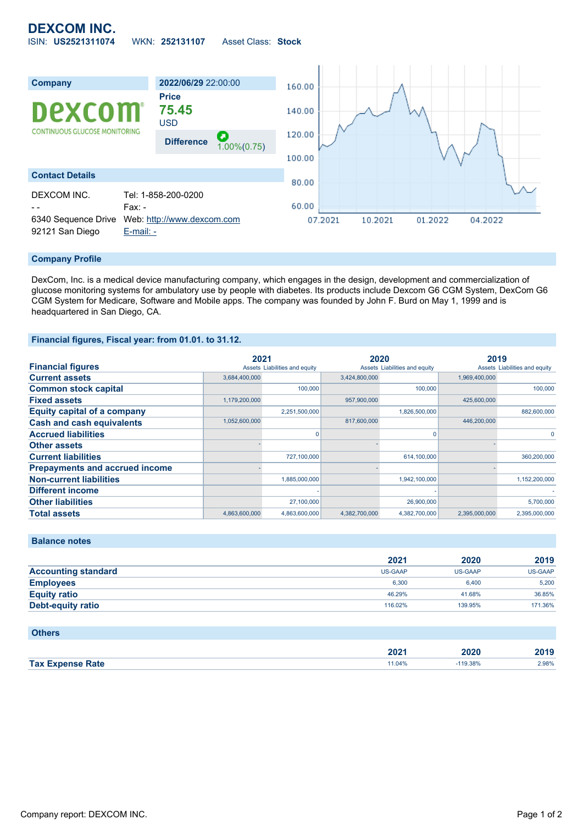## **DEXCOM INC.** ISIN: **US2521311074** WKN: **252131107** Asset Class: **Stock**



## **Company Profile**

DexCom, Inc. is a medical device manufacturing company, which engages in the design, development and commercialization of glucose monitoring systems for ambulatory use by people with diabetes. Its products include Dexcom G6 CGM System, DexCom G6 CGM System for Medicare, Software and Mobile apps. The company was founded by John F. Burd on May 1, 1999 and is headquartered in San Diego, CA.

## **Financial figures, Fiscal year: from 01.01. to 31.12.**

|                                       | 2021          |                               | 2020          |                               | 2019          |                               |
|---------------------------------------|---------------|-------------------------------|---------------|-------------------------------|---------------|-------------------------------|
| <b>Financial figures</b>              |               | Assets Liabilities and equity |               | Assets Liabilities and equity |               | Assets Liabilities and equity |
| <b>Current assets</b>                 | 3,684,400,000 |                               | 3,424,800,000 |                               | 1,969,400,000 |                               |
| <b>Common stock capital</b>           |               | 100,000                       |               | 100,000                       |               | 100,000                       |
| <b>Fixed assets</b>                   | 1,179,200,000 |                               | 957,900,000   |                               | 425,600,000   |                               |
| <b>Equity capital of a company</b>    |               | 2,251,500,000                 |               | 1,826,500,000                 |               | 882,600,000                   |
| <b>Cash and cash equivalents</b>      | 1,052,600,000 |                               | 817,600,000   |                               | 446,200,000   |                               |
| <b>Accrued liabilities</b>            |               |                               |               |                               |               | $\Omega$                      |
| <b>Other assets</b>                   |               |                               |               |                               |               |                               |
| <b>Current liabilities</b>            |               | 727,100,000                   |               | 614,100,000                   |               | 360,200,000                   |
| <b>Prepayments and accrued income</b> |               |                               |               |                               |               |                               |
| <b>Non-current liabilities</b>        |               | 1,885,000,000                 |               | 1,942,100,000                 |               | 1,152,200,000                 |
| <b>Different income</b>               |               |                               |               |                               |               |                               |
| <b>Other liabilities</b>              |               | 27,100,000                    |               | 26,900,000                    |               | 5,700,000                     |
| <b>Total assets</b>                   | 4,863,600,000 | 4,863,600,000                 | 4,382,700,000 | 4,382,700,000                 | 2,395,000,000 | 2,395,000,000                 |

**Balance notes**

|                            | 2021           | 2020    | 2019           |
|----------------------------|----------------|---------|----------------|
| <b>Accounting standard</b> | <b>US-GAAP</b> | US-GAAP | <b>US-GAAP</b> |
| <b>Employees</b>           | 6.300          | 6.400   | 5.200          |
| <b>Equity ratio</b>        | 46.29%         | 41.68%  | 36.85%         |
| <b>Debt-equity ratio</b>   | 116.02%        | 139.95% | 171.36%        |

| <b>Others</b>           |        |            |       |
|-------------------------|--------|------------|-------|
|                         | 2021   | 2020       | 2019  |
| <b>Tax Expense Rate</b> | 11.04% | $-119.38%$ | 2.98% |